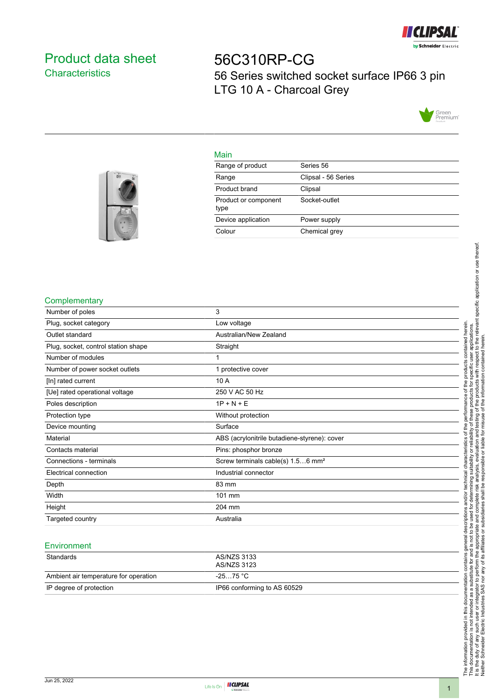

# <span id="page-0-0"></span>Product data sheet **Characteristics**

# 56C310RP-CG 56 Series switched socket surface IP66 3 pin LTG 10 A - Charcoal Grey



#### Main

| Range of product             | Series 56           |
|------------------------------|---------------------|
| Range                        | Clipsal - 56 Series |
| Product brand                | Clipsal             |
| Product or component<br>type | Socket-outlet       |
| Device application           | Power supply        |
| Colour                       | Chemical grey       |
|                              |                     |



### **Complementary**

| Number of poles                     | 3                                             |
|-------------------------------------|-----------------------------------------------|
| Plug, socket category               | Low voltage                                   |
| Outlet standard                     | Australian/New Zealand                        |
| Plug, socket, control station shape | Straight                                      |
| Number of modules                   |                                               |
| Number of power socket outlets      | 1 protective cover                            |
| [In] rated current                  | 10 A                                          |
| [Ue] rated operational voltage      | 250 V AC 50 Hz                                |
| Poles description                   | $1P + N + E$                                  |
| Protection type                     | Without protection                            |
| Device mounting                     | Surface                                       |
| Material                            | ABS (acrylonitrile butadiene-styrene): cover  |
| Contacts material                   | Pins: phosphor bronze                         |
| Connections - terminals             | Screw terminals cable(s) 1.56 mm <sup>2</sup> |
| Electrical connection               | Industrial connector                          |
| Depth                               | 83 mm                                         |
| Width                               | 101 mm                                        |
| Height                              | 204 mm                                        |
| Targeted country                    | Australia                                     |
|                                     |                                               |

#### **Environment**

| Standards                             | AS/NZS 3133<br>AS/NZS 3123  |
|---------------------------------------|-----------------------------|
| Ambient air temperature for operation | -25…75 °C                   |
| IP degree of protection               | IP66 conforming to AS 60529 |